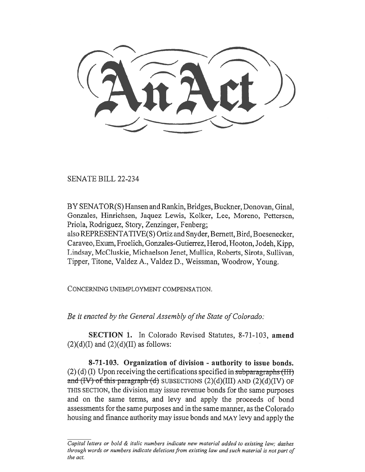SENATE BILL 22-234

BY SENATOR(S) Hansen and Rankin, Bridges, Buckner, Donovan, Ginal, Gonzales, Hinrichsen, Jaquez Lewis, Kolker, Lee, Moreno, Pettersen, Priola, Rodriguez, Story, Zenzinger, Fenberg;

also REPRESENTATIVE(S) Ortiz and Snyder, Bernett, Bird, Boesenecker, Caraveo, Exum, Froelich, Gonzales-Gutierrez, Herod, Hooton, Jodeh, Kipp, Lindsay, McCluskie, Michaelson Jenet, Mullica, Roberts, Sirota, Sullivan, Tipper, Titone, Valdez A., Valdez D., Weissman, Woodrow, Young.

CONCERNING UNEMPLOYMENT COMPENSATION.

Be it enacted by the General Assembly of the State of Colorado:

SECTION 1. In Colorado Revised Statutes, 8-71-103, amend  $(2)(d)(I)$  and  $(2)(d)(II)$  as follows:

8-71-103. Organization of division - authority to issue bonds.  $(2)$  (d) (I) Upon receiving the certifications specified in subparagraphs (III) and  $(W)$  of this paragraph  $(d)$  SUBSECTIONS  $(2)(d)(III)$  AND  $(2)(d)(IV)$  OF THIS SECTION, the division may issue revenue bonds for the same purposes and on the same terms, and levy and apply the proceeds of bond assessments for the same purposes and in the same manner, as the Colorado housing and finance authority may issue bonds and MAY levy and apply the

Capital letters or bold  $\&$  italic numbers indicate new material added to existing law; dashes through words or numbers indicate deletions from existing law and such material is not part of the act.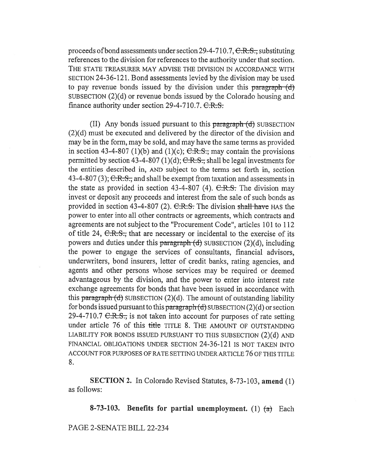proceeds of bond assessments under section  $29-4-710.7$ ,  $\text{C.R.S.}$ , substituting references to the division for references to the authority under that section. THE STATE TREASURER MAY ADVISE THE DIVISION IN ACCORDANCE WITH SECTION 24-36-121. Bond assessments levied by the division may be used to pay revenue bonds issued by the division under this paragraph  $(d)$ SUBSECTION (2)(d) or revenue bonds issued by the Colorado housing and finance authority under section  $29-4-710.7$ .  $C.R.S.$ 

(II) Any bonds issued pursuant to this  $\frac{1}{2}$  paragraph  $(d)$  SUB SECTION (2)(d) must be executed and delivered by the director of the division and may be in the form, may be sold, and may have the same terms as provided in section 43-4-807 (1)(b) and (1)(c);  $C.R.S.,$  may contain the provisions permitted by section 43-4-807 (1)(d);  $C.R.S.,$  shall be legal investments for the entities described in, AND subject to the terms set forth in, section 43-4-807 (3);  $C.R.S.,$  and shall be exempt from taxation and assessments in the state as provided in section 43-4-807 (4).  $C.R.S.$  The division may invest or deposit any proceeds and interest from the sale of such bonds as provided in section 43-4-807 (2).  $C.R.S.$  The division shall have HAS the power to enter into all other contracts or agreements, which contracts and agreements are not subject to the "Procurement Code", articles 101 to 112 of title 24,  $C.R.S.,$  that are necessary or incidental to the exercise of its powers and duties under this  $\frac{\partial^2 f}{\partial x^2}$  subsection (2)(d), including the power to engage the services of consultants, financial advisors, underwriters, bond insurers, letter of credit banks, rating agencies, and agents and other persons whose services may be required or deemed advantageous by the division, and the power to enter into interest rate exchange agreements for bonds that have been issued in accordance with this paragraph  $(d)$  SUBSECTION  $(2)(d)$ . The amount of outstanding liability for bonds issued pursuant to this paragraph  $(d)$  SUBSECTION (2)(d) or section 29-4-710.7  $C.R.S.,$  is not taken into account for purposes of rate setting under article 76 of this title TITLE 8. THE AMOUNT OF OUTSTANDING LIABILITY FOR BONDS ISSUED PURSUANT TO THIS SUBSECTION (2)(d) AND FINANCIAL OBLIGATIONS UNDER SECTION 24-36-121 IS NOT TAKEN INTO ACCOUNT FOR PURPOSES OF RATE SETTING UNDER ARTICLE 76 OF THIS TITLE 8.

SECTION 2. In Colorado Revised Statutes, 8-73-103, amend (1) as follows:

8-73-103. Benefits for partial unemployment. (1)  $\left(\frac{a}{b}\right)$  Each

PAGE 2-SENATE BILL 22-234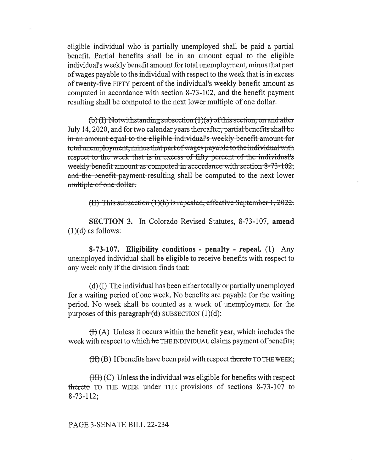eligible individual who is partially unemployed shall be paid a partial benefit. Partial benefits shall be in an amount equal to the eligible individual's weekly benefit amount for total unemployment, minus that part of wages payable to the individual with respect to the week that is in excess of twenty-five FIFTY percent of the individual's weekly benefit amount as computed in accordance with section 8-73-102, and the benefit payment resulting shall be computed to the next lower multiple of one dollar.

 $(b)(1)$  Notwithstanding subsection  $(1)(a)$  of this section, on and after July 14, 2020, and for two calendar years thereafter, partial benefits shall be in an amount equal to the eligible individual's weekly benefit amount for total unemployment, minus that part of wages payable to the individual with respect to the week that is in excess of fifty percent of the individual's weekly benefit amount as computed in accordance with section  $8-73-102$ ; and the benefit payment resulting shall be compt multiple of one dollar.

(II) This subsection  $(1)(b)$  is repealed, effective September 1, 2022.

SECTION 3. In Colorado Revised Statutes, 8-73-107, amend  $(1)(d)$  as follows:

8-73-107. Eligibility conditions - penalty - repeal. (1) Any unemployed individual shall be eligible to receive benefits with respect to any week only if the division finds that:

(d) (I) The individual has been either totally or partially unemployed for a waiting period of one week. No benefits are payable for the waiting period. No week shall be counted as a week of unemployment for the purposes of this paragraph  $(d)$  SUBSECTION  $(1)(d)$ :

 $(H)$  (A) Unless it occurs within the benefit year, which includes the week with respect to which he THE INDIVIDUAL claims payment of benefits;

 $(H)(B)$  If benefits have been paid with respect thereto TO THE WEEK;

 $(HH)(C)$  Unless the individual was eligible for benefits with respect thereto TO THE WEEK under THE provisions of sections  $8-73-107$  to 8-73-112;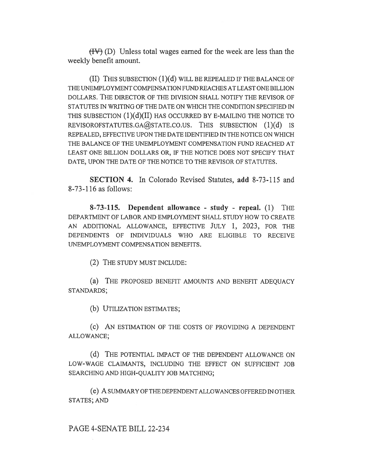$(HV)$  (D) Unless total wages earned for the week are less than the weekly benefit amount.

(II) THIS SUBSECTION (1)(d) WILL BE REPEALED IF THE BALANCE OF THE UNEMPLOYMENT COMPENSATION FUND REACHES AT LEAST ONE BILLION DOLLARS. THE DIRECTOR OF THE DIVISION SHALL NOTIFY THE REVISOR OF STATUTES IN WRITING OF THE DATE ON WHICH THE CONDITION SPECIFIED IN THIS SUBSECTION  $(1)(d)(II)$  has occurred by E-Mailing the notice to REVISOROFSTATUTES.GA@STATE.CO.US. THIS SUBSECTION (1)(d) IS REPEALED, EFFECTIVE UPON THE DATE IDENTIFIED IN THE NOTICE ON WHICH THE BALANCE OF THE UNEMPLOYMENT COMPENSATION FUND REACHED AT LEAST ONE BILLION DOLLARS OR, IF THE NOTICE DOES NOT SPECIFY THAT DATE, UPON THE DATE OF THE NOTICE TO THE REVISOR OF STATUTES.

SECTION 4. In Colorado Revised Statutes, add 8-73-115 and 8-73-116 as follows:

8-73-115. Dependent allowance - study - repeal. (1) THE DEPARTMENT OF LABOR AND EMPLOYMENT SHALL STUDY HOW TO CREATE AN ADDITIONAL ALLOWANCE, EFFECTIVE JULY 1, 2023, FOR THE DEPENDENTS OF INDIVIDUALS WHO ARE ELIGIBLE TO RECEIVE UNEMPLOYMENT COMPENSATION BENEFITS.

(2) THE STUDY MUST INCLUDE:

(a) THE PROPOSED BENEFIT AMOUNTS AND BENEFIT ADEQUACY STANDARDS;

(b) UTILIZATION ESTIMATES;

(c) AN ESTIMATION OF THE COSTS OF PROVIDING A DEPENDENT ALLOWANCE;

(d) THE POTENTIAL IMPACT OF THE DEPENDENT ALLOWANCE ON LOW-WAGE CLAIMANTS, INCLUDING THE EFFECT ON SUFFICIENT JOB SEARCHING AND HIGH-QUALITY JOB MATCHING;

(e) A SUMMARY OF THE DEPENDENT ALLOWANCES OFFERED IN OTHER STATES; AND

PAGE 4-SENATE BILL 22-234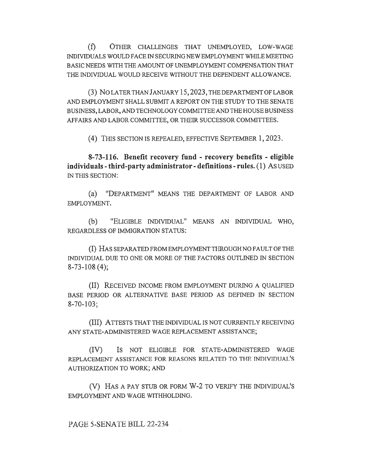(f) OTHER CHALLENGES THAT UNEMPLOYED, LOW-WAGE INDIVIDUALS WOULD FACE IN SECURING NEW EMPLOYMENT WHILE MEETING BASIC NEEDS WITH THE AMOUNT OF UNEMPLOYMENT COMPENSATION THAT THE INDIVIDUAL WOULD RECEIVE WITHOUT THE DEPENDENT ALLOWANCE.

(3) No LATER THAN JANUARY 15,2023, THE DEPARTMENT OF LABOR AND EMPLOYMENT SHALL SUBMIT A REPORT ON THE STUDY TO THE SENATE BUSINESS, LABOR, AND TECHNOLOGY COMMITTEE AND THE HOUSE BUSINESS AFFAIRS AND LABOR COMMITTEE, OR THEIR SUCCESSOR COMMITTEES.

(4) THIS SECTION IS REPEALED, EFFECTIVE SEPTEMBER 1, 2023.

8-73-116. Benefit recovery fund - recovery benefits - eligible individuals - third-party administrator - definitions - rules. (1) As USED IN THIS SECTION:

(a) "DEPARTMENT" MEANS THE DEPARTMENT OF LABOR AND EMPLOYMENT.

(b) "ELIGIBLE INDIVIDUAL" MEANS AN INDIVIDUAL WHO, REGARDLESS OF IMMIGRATION STATUS:

(I) HAS SEPARATED FROM EMPLOYMENT THROUGH NO FAULT OF THE INDIVIDUAL DUE TO ONE OR MORE OF THE FACTORS OUTLINED IN SECTION 8-73-108 (4);

(II) RECEIVED INCOME FROM EMPLOYMENT DURING A QUALIFIED BASE PERIOD OR ALTERNATIVE BASE PERIOD AS DEFINED IN SECTION 8-70-103;

(III) ATTESTS THAT THE INDIVIDUAL IS NOT CURRENTLY RECEIVING ANY STATE-ADMINISTERED WAGE REPLACEMENT ASSISTANCE;

(IV) IS NOT ELIGIBLE FOR STATE-ADMINISTERED WAGE REPLACEMENT ASSISTANCE FOR REASONS RELATED TO THE INDIVIDUAL'S AUTHORIZATION TO WORK; AND

(V) HAS A PAY STUB OR FORM W-2 TO VERIFY THE INDIVIDUAL'S EMPLOYMENT AND WAGE WITHHOLDING.

PAGE 5-SENATE BILL 22-234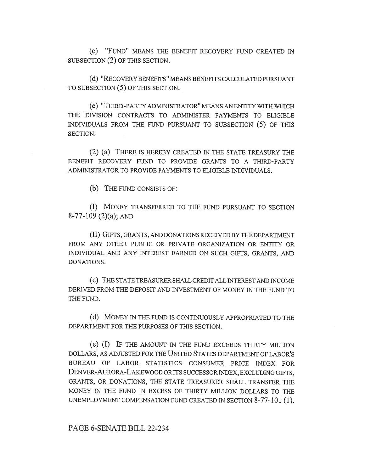(C) "FUND" MEANS THE BENEFIT RECOVERY FUND CREATED IN SUBSECTION (2) OF THIS SECTION.

(d) "RECOVERY BENEFITS" MEANS BENEFITS CALCULATED PURSUANT TO SUBSECTION (5) OF THIS SECTION.

(e) "THIRD-PARTY ADMINISTRATOR" MEANS AN ENTITY WITH WHICH THE DIVISION CONTRACTS TO ADMINISTER PAYMENTS TO ELIGIBLE INDIVIDUALS FROM THE FUND PURSUANT TO SUBSECTION (5) OF THIS SECTION.

(2) (a) THERE IS HEREBY CREATED IN THE STATE TREASURY THE BENEFIT RECOVERY FUND TO PROVIDE GRANTS TO A THIRD-PARTY ADMINISTRATOR TO PROVIDE PAYMENTS TO ELIGIBLE INDIVIDUALS.

(b) THE FUND CONSISTS OF:

(I) MONEY TRANSFERRED TO THE FUND PURSUANT TO SECTION 8-77-109 (2)(a); AND

(II) GIFTS, GRANTS, AND DONATIONS RECEIVED BY THE DEPARTMENT FROM ANY OTHER PUBLIC OR PRIVATE ORGANIZATION OR ENTITY OR INDIVIDUAL AND ANY INTEREST EARNED ON SUCH GIFTS, GRANTS, AND DONATIONS.

(C) THE STATE TREASURER SHALL CREDIT ALL INTEREST AND INCOME DERIVED FROM THE DEPOSIT AND INVESTMENT OF MONEY IN THE FUND TO THE FUND.

(d) MONEY IN THE FUND IS CONTINUOUSLY APPROPRIATED TO THE DEPARTMENT FOR THE PURPOSES OF THIS SECTION.

(e) (I) IF THE AMOUNT IN THE FUND EXCEEDS THIRTY MILLION DOLLARS, AS ADJUSTED FOR THE UNITED STATES DEPARTMENT OF LABOR'S BUREAU OF LABOR STATISTICS CONSUMER PRICE INDEX FOR DENVER-AURORA-LAKEWOOD OR ITS SUCCESSOR INDEX, EXCLUDING GIFTS, GRANTS, OR DONATIONS, THE STATE TREASURER SHALL TRANSFER THE MONEY IN THE FUND IN EXCESS OF THIRTY MILLION DOLLARS TO THE UNEMPLOYMENT COMPENSATION FUND CREATED IN SECTION 8-77-101 (1).

PAGE 6-SENATE BILL 22-234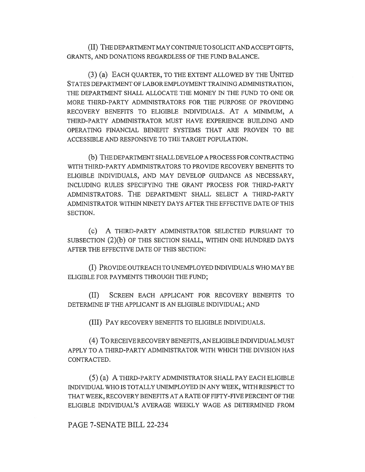(II) THE DEPARTMENT MAY CONTINUE TO SOLICIT AND ACCEPT GIFTS, GRANTS, AND DONATIONS REGARDLESS OF THE FUND BALANCE.

(3) (a) EACH QUARTER, TO THE EXTENT ALLOWED BY THE UNITED STATES DEPARTMENT OF LABOR EMPLOYMENT TRAINING ADMINISTRATION, THE DEPARTMENT SHALL ALLOCATE THE MONEY IN THE FUND TO ONE OR MORE THIRD-PARTY ADMINISTRATORS FOR THE PURPOSE OF PROVIDING RECOVERY BENEFITS TO ELIGIBLE INDIVIDUALS. AT A MINIMUM, A THIRD-PARTY ADMINISTRATOR MUST HAVE EXPERIENCE BUILDING AND OPERATING FINANCIAL BENEFIT SYSTEMS THAT ARE PROVEN TO BE ACCESSIBLE AND RESPONSIVE TO THE TARGET POPULATION.

(b) THE DEPARTMENT SHALL DEVELOP A PROCESS FOR CONTRACTING WITH THIRD-PARTY ADMINISTRATORS TO PROVIDE RECOVERY BENEFITS TO ELIGIBLE INDIVIDUALS, AND MAY DEVELOP GUIDANCE AS NECESSARY, INCLUDING RULES SPECIFYING THE GRANT PROCESS FOR THIRD-PARTY ADMINISTRATORS. THE DEPARTMENT SHALL SELECT A THIRD-PARTY ADMINISTRATOR WITHIN NINETY DAYS AFTER THE EFFECTIVE DATE OF THIS SECTION.

(c) A THIRD-PARTY ADMINISTRATOR SELECTED PURSUANT TO SUBSECTION (2)(b) OF THIS SECTION SHALL, WITHIN ONE HUNDRED DAYS AFTER THE EFFECTIVE DATE OF THIS SECTION:

(I) PROVIDE OUTREACH TO UNEMPLOYED INDIVIDUALS WHO MAY BE ELIGIBLE FOR PAYMENTS THROUGH THE FUND;

(II) SCREEN EACH APPLICANT FOR RECOVERY BENEFITS TO DETERMINE IF THE APPLICANT IS AN ELIGIBLE INDIVIDUAL; AND

(III) PAY RECOVERY BENEFITS TO ELIGIBLE INDIVIDUALS.

(4) To RECEIVE RECOVERY BENEFITS, AN ELIGIBLE INDIVIDUAL MUST APPLY TO A THIRD-PARTY ADMINISTRATOR WITH WHICH THE DIVISION HAS CONTRACTED.

(5) (a) A THIRD-PARTY ADMINISTRATOR SHALL PAY EACH ELIGIBLE INDIVIDUAL WHO IS TOTALLY UNEMPLOYED IN ANY WEEK, WITH RESPECT TO THAT WEEK, RECOVERY BENEFITS AT A RATE OF FIFTY-FIVE PERCENT OF THE ELIGIBLE INDIVIDUAL'S AVERAGE WEEKLY WAGE AS DETERMINED FROM

## PAGE 7-SENATE BILL 22-234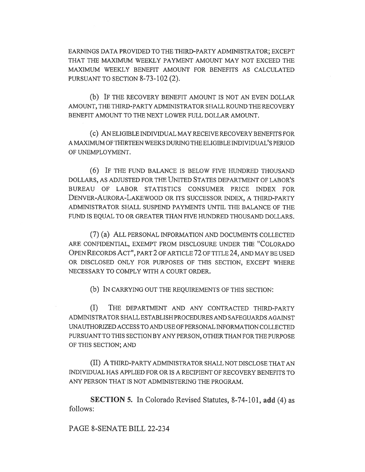EARNINGS DATA PROVIDED TO THE THIRD-PARTY ADMINISTRATOR; EXCEPT THAT THE MAXIMUM WEEKLY PAYMENT AMOUNT MAY NOT EXCEED THE MAXIMUM WEEKLY BENEFIT AMOUNT FOR BENEFITS AS CALCULATED PURSUANT TO SECTION 8-73-102 (2).

(b) IF THE RECOVERY BENEFIT AMOUNT IS NOT AN EVEN DOLLAR AMOUNT, THE THIRD-PARTY ADMINISTRATOR SHALL ROUND THE RECOVERY BENEFIT AMOUNT TO THE NEXT LOWER FULL DOLLAR AMOUNT.

(c) AN ELIGIBLE INDIVIDUAL MAY RECEIVE RECOVERY BENEFITS FOR A MAXIMUM OF THIRTEEN WEEKS DURING THE ELIGIBLE INDIVIDUAL'S PERIOD OF UNEMPLOYMENT.

(6) IF THE FUND BALANCE IS BELOW FIVE HUNDRED THOUSAND DOLLARS, AS ADJUSTED FOR THE UNITED STATES DEPARTMENT OF LABOR'S BUREAU OF LABOR STATISTICS CONSUMER PRICE INDEX FOR DENVER-AURORA-LAKEWOOD OR ITS SUCCESSOR INDEX, A THIRD-PARTY ADMINISTRATOR SHALL SUSPEND PAYMENTS UNTIL THE BALANCE OF THE FUND IS EQUAL TO OR GREATER THAN FIVE HUNDRED THOUSAND DOLLARS.

(7) (a) ALL PERSONAL INFORMATION AND DOCUMENTS COLLECTED ARE CONFIDENTIAL, EXEMPT FROM DISCLOSURE UNDER THE "COLORADO OPEN RECORDS ACT", PART 2 OF ARTICLE 72 OF TITLE 24, AND MAY BE USED OR DISCLOSED ONLY FOR PURPOSES OF THIS SECTION, EXCEPT WHERE NECESSARY TO COMPLY WITH A COURT ORDER.

(b) IN CARRYING OUT THE REQUIREMENTS OF THIS SECTION:

(I) THE DEPARTMENT AND ANY CONTRACTED THIRD-PARTY ADMINISTRATOR SHALL ESTABLISH PROCEDURES AND SAFEGUARDS AGAINST UNAUTHORIZED ACCESS TO AND USE OF PERSONAL INFORMATION COLLECTED PURSUANT TO THIS SECTION BY ANY PERSON, OTHER THAN FOR THE PURPOSE OF THIS SECTION; AND

(II) A THIRD-PARTY ADMINISTRATOR SHALL NOT DISCLOSE THAT AN INDIVIDUAL HAS APPLIED FOR OR IS A RECIPIENT OF RECOVERY BENEFITS TO ANY PERSON THAT IS NOT ADMINISTERING THE PROGRAM.

SECTION 5. In Colorado Revised Statutes, 8-74-101, add (4) as follows:

PAGE 8-SENATE BILL 22-234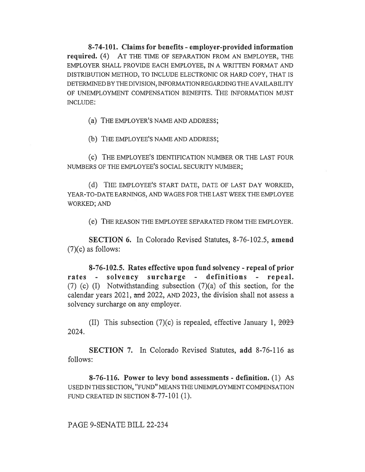8-74-101. Claims for benefits - employer-provided information required. (4) AT THE TIME OF SEPARATION FROM AN EMPLOYER, THE EMPLOYER SHALL PROVIDE EACH EMPLOYEE, IN A WRITTEN FORMAT AND DISTRIBUTION METHOD, TO INCLUDE ELECTRONIC OR HARD COPY, THAT IS DETERMINED BY THE DIVISION, INFORMATION REGARDING THE AVAILABILITY OF UNEMPLOYMENT COMPENSATION BENEFITS. THE INFORMATION MUST INCLUDE:

(a) THE EMPLOYER'S NAME AND ADDRESS;

(b) THE EMPLOYEE'S NAME AND ADDRESS;

(c) THE EMPLOYEE'S IDENTIFICATION NUMBER OR THE LAST FOUR NUMBERS OF THE EMPLOYEE'S SOCIAL SECURITY NUMBER;

(d) THE EMPLOYEE'S START DATE, DATE OF LAST DAY WORKED, YEAR-TO-DATE EARNINGS, AND WAGES FOR THE LAST WEEK THE EMPLOYEE WORKED; AND

(e) THE REASON THE EMPLOYEE SEPARATED FROM THE EMPLOYER.

SECTION 6. In Colorado Revised Statutes, 8-76-102.5, amend  $(7)(c)$  as follows:

8-76-102.5. Rates effective upon fund solvency - repeal of prior rates - solvency surcharge - definitions - repeal. (7) (c) (I) Notwithstanding subsection (7)(a) of this section, for the calendar years 2021, and 2022, AND 2023, the division shall not assess a solvency surcharge on any employer.

(II) This subsection (7)(c) is repealed, effective January 1,  $2023$ 2024.

SECTION 7. In Colorado Revised Statutes, add 8-76-116 as follows:

8-76-116. Power to levy bond assessments - definition. (1) As USED IN THIS SECTION, "FUND" MEANS THE UNEMPLOYMENT COMPENSATION FUND CREATED IN SECTION 8-77-101 (1).

PAGE 9-SENATE BILL 22-234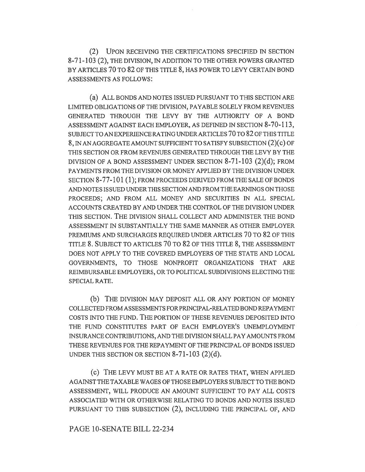(2) UPON RECEIVING THE CERTIFICATIONS SPECIFIED IN SECTION 8-71-103 (2), THE DIVISION, IN ADDITION TO THE OTHER POWERS GRANTED BY ARTICLES 70 TO 82 OF THIS TITLE 8, HAS POWER TO LEVY CERTAIN BOND ASSESSMENTS AS FOLLOWS:

(a) ALL BONDS AND NOTES ISSUED PURSUANT TO THIS SECTION ARE LIMITED OBLIGATIONS OF THE DIVISION, PAYABLE SOLELY FROM REVENUES GENERATED THROUGH THE LEVY BY THE AUTHORITY OF A BOND ASSESSMENT AGAINST EACH EMPLOYER, AS DEFINED IN SECTION 8-70-113, SUBJECT TO AN EXPERIENCE RATING UNDER ARTICLES 70 TO 82 OF THIS TITLE 8, IN AN AGGREGATE AMOUNT SUFFICIENT TO SATISFY SUBSECTION (2)(c) OF THIS SECTION OR FROM REVENUES GENERATED THROUGH THE LEVY BY THE DIVISION OF A BOND ASSESSMENT UNDER SECTION 8-71-103 (2)(d); FROM PAYMENTS FROM THE DIVISION OR MONEY APPLIED BY THE DIVISION UNDER SECTION 8-77-101 (1); FROM PROCEEDS DERIVED FROM THE SALE OF BONDS AND NOTES ISSUED UNDER THIS SECTION AND FROM THE EARNINGS ON THOSE PROCEEDS; AND FROM ALL MONEY AND SECURITIES IN ALL SPECIAL ACCOUNTS CREATED BY AND UNDER THE CONTROL OF THE DIVISION UNDER THIS SECTION. THE DIVISION SHALL COLLECT AND ADMINISTER THE BOND ASSESSMENT IN SUBSTANTIALLY THE SAME MANNER AS OTHER EMPLOYER PREMIUMS AND SURCHARGES REQUIRED UNDER ARTICLES 70 TO 82 OF THIS TITLE 8. SUBJECT TO ARTICLES 70 TO 82 OF THIS TITLE 8, THE ASSESSMENT DOES NOT APPLY TO THE COVERED EMPLOYERS OF THE STATE AND LOCAL GOVERNMENTS, TO THOSE NONPROFIT ORGANIZATIONS THAT ARE REIMBURSABLE EMPLOYERS, OR TO POLITICAL SUBDIVISIONS ELECTING THE SPECIAL RATE.

(b) THE DIVISION MAY DEPOSIT ALL OR ANY PORTION OF MONEY COLLECTED FROM ASSESSMENTS FOR PRINCIPAL-RELATED BOND REPAYMENT COSTS INTO THE FUND. THE PORTION OF THESE REVENUES DEPOSITED INTO THE FUND CONSTITUTES PART OF EACH EMPLOYER'S UNEMPLOYMENT INSURANCE CONTRIBUTIONS, AND THE DIVISION SHALL PAY AMOUNTS FROM THESE REVENUES FOR THE REPAYMENT OF THE PRINCIPAL OF BONDS ISSUED UNDER THIS SECTION OR SECTION 8-71-103 (2)(d).

(c) THE LEVY MUST BE AT A RATE OR RATES THAT, WHEN APPLIED AGAINST THE TAXABLE WAGES OF THOSE EMPLOYERS SUBJECT TO THE BOND ASSESSMENT, WILL PRODUCE AN AMOUNT SUFFICIENT TO PAY ALL COSTS ASSOCIATED WITH OR OTHERWISE RELATING TO BONDS AND NOTES ISSUED PURSUANT TO THIS SUBSECTION (2), INCLUDING THE PRINCIPAL OF, AND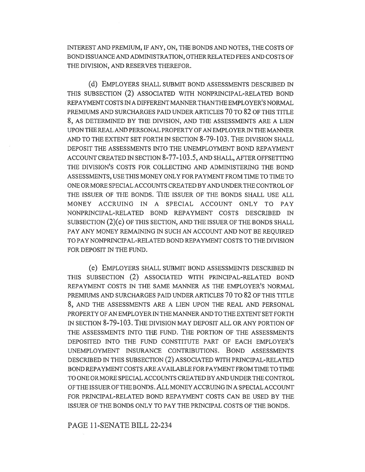INTEREST AND PREMIUM, IF ANY, ON, THE BONDS AND NOTES, THE COSTS OF BOND ISSUANCE AND ADMINISTRATION, OTHER RELATED FEES AND COSTS OF THE DIVISION, AND RESERVES THEREFOR.

(d) EMPLOYERS SHALL SUBMIT BOND ASSESSMENTS DESCRIBED IN THIS SUBSECTION (2) ASSOCIATED WITH NONPRINCIPAL-RELATED BOND REPAYMENT COSTS IN A DIFFERENT MANNER THAN THE EMPLOYER'S NORMAL PREMIUMS AND SURCHARGES PAID UNDER ARTICLES 70 TO 82 OF THIS TITLE 8, AS DETERMINED BY THE DIVISION, AND THE ASSESSMENTS ARE A LIEN UPON THE REAL AND PERSONAL PROPERTY OF AN EMPLOYER IN THE MANNER AND TO THE EXTENT SET FORTH IN SECTION 8-79-103. THE DIVISION SHALL DEPOSIT THE ASSESSMENTS INTO THE UNEMPLOYMENT BOND REPAYMENT ACCOUNT CREATED IN SECTION 8-77-103.5, AND SHALL, AFTER OFFSETTING THE DIVISION'S COSTS FOR COLLECTING AND ADMINISTERING THE BOND ASSESSMENTS, USE THIS MONEY ONLY FOR PAYMENT FROM TIME TO TIME TO ONE OR MORE SPECIAL ACCOUNTS CREATED BY AND UNDER THE CONTROL OF THE ISSUER OF THE BONDS. THE ISSUER OF THE BONDS SHALL USE ALL MONEY ACCRUING IN A SPECIAL ACCOUNT ONLY TO PAY NONPRINCIPAL-RELATED BOND REPAYMENT COSTS DESCRIBED IN SUBSECTION (2)(c) OF THIS SECTION, AND THE ISSUER OF THE BONDS SHALL PAY ANY MONEY REMAINING IN SUCH AN ACCOUNT AND NOT BE REQUIRED TO PAY NONPRINCIPAL-RELATED BOND REPAYMENT COSTS TO THE DIVISION FOR DEPOSIT IN THE FUND.

(e) EMPLOYERS SHALL SUBMIT BOND ASSESSMENTS DESCRIBED IN THIS SUBSECTION (2) ASSOCIATED WITH PRINCIPAL-RELATED BOND REPAYMENT COSTS IN THE SAME MANNER AS THE EMPLOYER'S NORMAL PREMIUMS AND SURCHARGES PAID UNDER ARTICLES 70 TO 82 OF THIS TITLE 8, AND THE ASSESSMENTS ARE A LIEN UPON THE REAL AND PERSONAL PROPERTY OF AN EMPLOYER IN THE MANNER AND TO THE EXTENT SET FORTH IN SECTION 8-79-103. THE DIVISION MAY DEPOSIT ALL OR ANY PORTION OF THE ASSESSMENTS INTO THE FUND. THE PORTION OF THE ASSESSMENTS DEPOSITED INTO THE FUND CONSTITUTE PART OF EACH EMPLOYER'S UNEMPLOYMENT INSURANCE CONTRIBUTIONS. BOND ASSESSMENTS DESCRIBED IN THIS SUBSECTION (2) ASSOCIATED WITH PRINCIPAL-RELATED BOND REPAYMENT COSTS ARE AVAILABLE FOR PAYMENT FROM TIME TO TIME TO ONE OR MORE SPECIAL ACCOUNTS CREATED BY AND UNDER THE CONTROL OF THE ISSUER OF THE BONDS. ALL MONEY ACCRUING IN A SPECIAL ACCOUNT FOR PRINCIPAL-RELATED BOND REPAYMENT COSTS CAN BE USED BY THE ISSUER OF THE BONDS ONLY TO PAY THE PRINCIPAL COSTS OF THE BONDS.

PAGE 11-SENATE BILL 22-234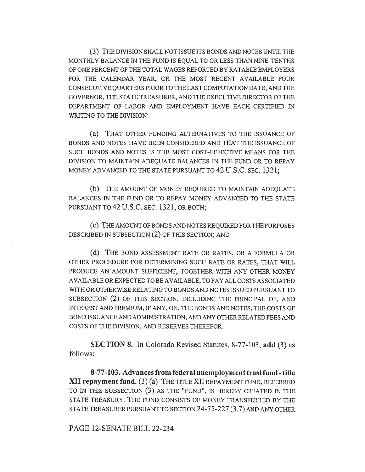(3) THE DIVISION SHALL NOT ISSUE ITS BONDS AND NOTES UNTIL THE MONTHLY BALANCE IN THE FUND IS EQUAL TO OR LESS THAN NINE-TENTHS OF ONE PERCENT OF THE TOTAL WAGES REPORTED BY RATABLE EMPLOYERS FOR THE CALENDAR YEAR, OR THE MOST RECENT AVAILABLE FOUR CONSECUTIVE QUARTERS PRIOR TO THE LAST COMPUTATION DATE, AND THE GOVERNOR, THE STATE TREASURER, AND THE EXECUTIVE DIRECTOR OF THE DEPARTMENT OF LABOR AND EMPLOYMENT HAVE EACH CERTIFIED IN WRITING TO THE DIVISION:

(a) THAT OTHER FUNDING ALTERNATIVES TO THE ISSUANCE OF BONDS AND NOTES HAVE BEEN CONSIDERED AND THAT THE ISSUANCE OF SUCH BONDS AND NOTES IS THE MOST COST-EFFECTIVE MEANS FOR THE DIVISION TO MAINTAIN ADEQUATE BALANCES IN THE FUND OR TO REPAY MONEY ADVANCED TO THE STATE PURSUANT TO 42 U.S.C. SEC. 1321;

(b) THE AMOUNT OF MONEY REQUIRED TO MAINTAIN ADEQUATE BALANCES IN THE FUND OR TO REPAY MONEY ADVANCED TO THE STATE PURSUANT TO 42 U.S.C. SEC. 1321, OR BOTH;

(c) THE AMOUNT OF BONDS AND NOTES REQUIRED FOR THE PURPOSES DESCRIBED IN SUBSECTION (2) OF THIS SECTION; AND

(d) THE BOND ASSESSMENT RATE OR RATES, OR A FORMULA OR OTHER PROCEDURE FOR DETERMINING SUCH RATE OR RATES, THAT WILL PRODUCE AN AMOUNT SUFFICIENT, TOGETHER WITH ANY OTHER MONEY AVAILABLE OR EXPECTED TO BE AVAILABLE, TO PAY ALL COSTS ASSOCIATED WITH OR OTHERWISE RELATING TO BONDS AND NOTES ISSUED PURSUANT TO SUBSECTION (2) OF THIS SECTION, INCLUDING THE PRINCIPAL OF, AND INTEREST AND PREMIUM, IF ANY, ON, THE BONDS AND NOTES, THE COSTS OF BOND ISSUANCE AND ADMINISTRATION, AND ANY OTHER RELATED FEES AND COSTS OF THE DIVISION, AND RESERVES THEREFOR.

SECTION 8. In Colorado Revised Statutes, 8-77-103, add (3) as follows:

8-77-103. Advances from federal unemployment trust fund - title XII repayment fund. (3) (a) THE TITLE XII REPAYMENT FUND, REFERRED TO IN THIS SUBSECTION (3) AS THE "FUND", IS HEREBY CREATED IN THE STATE TREASURY. THE FUND CONSISTS OF MONEY TRANSFERRED BY THE STATE TREASURER PURSUANT TO SECTION 24-75-227 (3.7) AND ANY OTHER

PAGE 12-SENATE BILL 22-234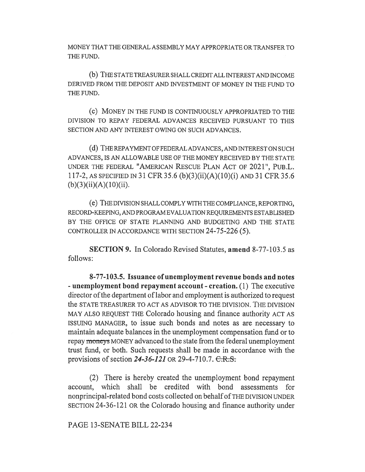MONEY THAT THE GENERAL ASSEMBLY MAY APPROPRIATE OR TRANSFER TO THE FUND.

(b) THE STATE TREASURER SHALL CREDIT ALL INTEREST AND INCOME DERIVED FROM THE DEPOSIT AND INVESTMENT OF MONEY IN THE FUND TO THE FUND.

(c) MONEY IN THE FUND IS CONTINUOUSLY APPROPRIATED TO THE DIVISION TO REPAY FEDERAL ADVANCES RECEIVED PURSUANT TO THIS SECTION AND ANY INTEREST OWING ON SUCH ADVANCES.

(d) THE REPAYMENT OF FEDERAL ADVANCES, AND INTEREST ON SUCH ADVANCES, IS AN ALLOWABLE USE OF THE MONEY RECEIVED BY THE STATE UNDER THE FEDERAL "AMERICAN RESCUE PLAN ACT OF 2021", PUB.L. 117-2, AS SPECIFIED IN 31 CFR 35.6 (b)(3)(ii)(A)(10)(i) AND 31 CFR 35.6  $(b)(3)(ii)(A)(10)(ii).$ 

(e) THE DIVISION SHALL COMPLY WITH THE COMPLIANCE, REPORTING, RECORD-KEEPING, AND PROGRAM EVALUATION REQUIREMENTS ESTABLISHED BY THE OFFICE OF STATE PLANNING AND BUDGETING AND THE STATE CONTROLLER IN ACCORDANCE WITH SECTION 24-75-226 (5).

SECTION 9. In Colorado Revised Statutes, amend 8-77-103.5 as follows:

8-77-103.5. Issuance of unemployment revenue bonds and notes - unemployment bond repayment account - creation. (1) The executive director of the department of labor and employment is authorized to request the STATE TREASURER TO ACT AS ADVISOR TO THE DIVISION. THE DIVISION MAY ALSO REQUEST THE Colorado housing and finance authority ACT AS ISSUING MANAGER, to issue such bonds and notes as are necessary to maintain adequate balances in the unemployment compensation fund or to repay moneys MONEY advanced to the state from the federal unemployment trust fund, or both. Such requests shall be made in accordance with the provisions of section  $24-36-121$  OR 29-4-710.7.  $C.R.S.$ 

(2) There is hereby created the unemployment bond repayment account, which shall be credited with bond assessments for nonprincipal-related bond costs collected on behalf of THE DIVISION UNDER SECTION 24-36-121 OR the Colorado housing and finance authority under

PAGE 13-SENATE BILL 22-234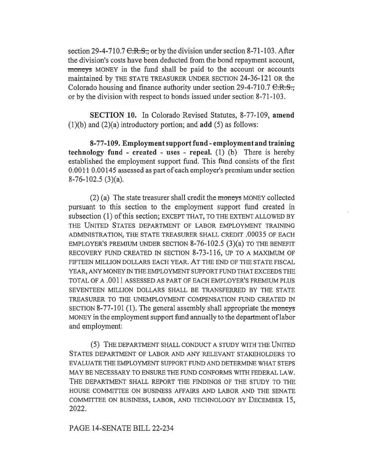section 29-4-710.7  $C.R.S.$ , or by the division under section 8-71-103. After the division's costs have been deducted from the bond repayment account, moneys MONEY in the fund shall be paid to the account or accounts maintained by THE STATE TREASURER UNDER SECTION 24-36-121 OR the Colorado housing and finance authority under section  $29-4-710.7 \text{ C.R.S.}$ or by the division with respect to bonds issued under section 8-71-103.

SECTION 10. In Colorado Revised Statutes, 8-77-109, amend  $(1)(b)$  and  $(2)(a)$  introductory portion; and **add**  $(5)$  as follows:

8-77-109. Employment support fund - employment and training technology fund - created - uses - repeal.  $(1)$   $(b)$  There is hereby established the employment support fund. This fund consists of the first 0.0011 0.00145 assessed as part of each employer's premium under section 8-76-102.5 (3)(a).

(2) (a) The state treasurer shall credit the moneys MONEY collected pursuant to this section to the employment support fund created in subsection (1) of this section; EXCEPT THAT, TO THE EXTENT ALLOWED BY THE UNITED STATES DEPARTMENT OF LABOR EMPLOYMENT TRAINING ADMINISTRATION, THE STATE TREASURER SHALL CREDIT .00035 OF EACH EMPLOYER'S PREMIUM UNDER SECTION  $8-76-102.5$  (3)(a) TO THE BENEFIT RECOVERY FUND CREATED IN SECTION 8-73-116, UP TO A MAXIMUM OF FIFTEEN MILLION DOLLARS EACH YEAR. AT THE END OF THE STATE FISCAL YEAR, ANY MONEY IN THE EMPLOYMENT SUPPORT FUND THAT EXCEEDS THE TOTAL OF A .0011 ASSESSED AS PART OF EACH EMPLOYER'S PREMIUM PLUS SEVENTEEN MILLION DOLLARS SHALL BE TRANSFERRED BY THE STATE TREASURER TO THE UNEMPLOYMENT COMPENSATION FUND CREATED IN SECTION 8-77-101 (1). The general assembly shall appropriate the moneys MONEY in the employment support fund annually to the department of labor and employment:

(5) THE DEPARTMENT SHALL CONDUCT A STUDY WITH THE UNITED STATES DEPARTMENT OF LABOR AND ANY RELEVANT STAKEHOLDERS TO EVALUATE THE EMPLOYMENT SUPPORT FUND AND DETERMINE WHAT STEPS MAY BE NECESSARY TO ENSURE THE FUND CONFORMS WITH FEDERAL LAW. THE DEPARTMENT SHALL REPORT THE FINDINGS OF THE STUDY TO THE HOUSE COMMITTEE ON BUSINESS AFFAIRS AND LABOR AND THE SENATE COMMITTEE ON BUSINESS, LABOR, AND TECHNOLOGY BY DECEMBER 15, 2022.

PAGE 14-SENATE BILL 22-234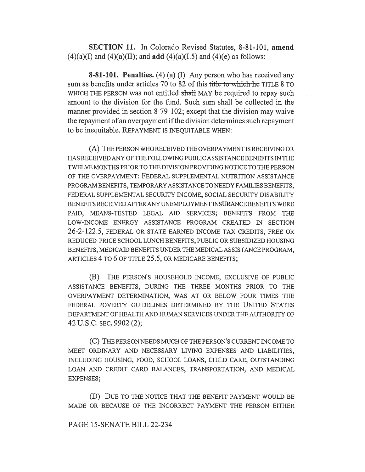SECTION 11. In Colorado Revised Statutes, 8-81-101, amend  $(4)(a)(I)$  and  $(4)(a)(II)$ ; and add  $(4)(a)(I.5)$  and  $(4)(e)$  as follows:

8-81-101. Penalties. (4) (a) (I) Any person who has received any sum as benefits under articles 70 to 82 of this title to which he TITLE 8 TO WHICH THE PERSON was not entitled shall MAY be required to repay such amount to the division for the fund. Such sum shall be collected in the manner provided in section 8-79-102; except that the division may waive the repayment of an overpayment if the division determines such repayment to be inequitable. REPAYMENT IS INEQUITABLE WHEN:

(A) THE PERSON WHO RECEIVED THE OVERPAYMENT IS RECEIVING OR HAS RECEIVED ANY OF THE FOLLOWING PUBLIC ASSISTANCE BENEFITS IN THE TWELVE MONTHS PRIOR TO THE DIVISION PROVIDING NOTICE TO THE PERSON OF THE OVERPAYMENT: FEDERAL SUPPLEMENTAL NUTRITION ASSISTANCE PROGRAM BENEFITS, TEMPORARY ASSISTANCE TO NEEDY FAMILIES BENEFITS, FEDERAL SUPPLEMENTAL SECURITY INCOME, SOCIAL SECURITY DISABILITY BENEFITS RECEIVED AFTER ANY UNEMPLOYMENT INSURANCE BENEFITS WERE PAID, MEANS-TESTED LEGAL AID SERVICES; BENEFITS FROM THE LOW-INCOME ENERGY ASSISTANCE PROGRAM CREATED IN SECTION 26-2-122.5, FEDERAL OR STATE EARNED INCOME TAX CREDITS, FREE OR REDUCED-PRICE SCHOOL LUNCH BENEFITS, PUBLIC OR SUBSIDIZED HOUSING BENEFITS, MEDICAID BENEFITS UNDER THE MEDICAL ASSISTANCE PROGRAM, ARTICLES 4 TO 6 OF TITLE 25.5, OR MEDICARE BENEFITS;

(B) THE PERSON'S HOUSEHOLD INCOME, EXCLUSIVE OF PUBLIC ASSISTANCE BENEFITS, DURING THE THREE MONTHS PRIOR TO THE OVERPAYMENT DETERMINATION, WAS AT OR BELOW FOUR TIMES THE FEDERAL POVERTY GUIDELINES DETERMINED BY THE UNITED STATES DEPARTMENT OF HEALTH AND HUMAN SERVICES UNDER THE AUTHORITY OF 42 U.S.C. SEC. 9902 (2);

(C) THE PERSON NEEDS MUCH OF THE PERSON'S CURRENT INCOME TO MEET ORDINARY AND NECESSARY LIVING EXPENSES AND LIABILITIES, INCLUDING HOUSING, FOOD, SCHOOL LOANS, CHILD CARE, OUTSTANDING LOAN AND CREDIT CARD BALANCES, TRANSPORTATION, AND MEDICAL EXPENSES;

(D) DUE TO THE NOTICE THAT THE BENEFIT PAYMENT WOULD BE MADE OR BECAUSE OF THE INCORRECT PAYMENT THE PERSON EITHER

## PAGE 15-SENATE BILL 22-234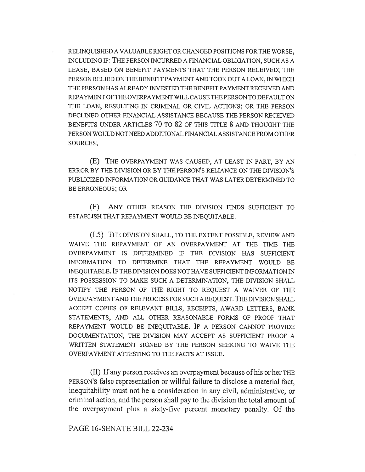RELINQUISHED A VALUABLE RIGHT OR CHANGED POSITIONS FOR THE WORSE, INCLUDING IF: THE PERSON INCURRED A FINANCIAL OBLIGATION, SUCH AS A LEASE, BASED ON BENEFIT PAYMENTS THAT THE PERSON RECEIVED; THE PERSON RELIED ON THE BENEFIT PAYMENT AND TOOK OUT A LOAN, IN WHICH THE PERSON HAS ALREADY INVESTED THE BENEFIT PAYMENT RECEIVED AND REPAYMENT OF THE OVERPAYMENT WILL CAUSE THE PERSON TO DEFAULT ON THE LOAN, RESULTING IN CRIMINAL OR CIVIL ACTIONS; OR THE PERSON DECLINED OTHER FINANCIAL ASSISTANCE BECAUSE THE PERSON RECEIVED BENEFITS UNDER ARTICLES 70 TO 82 OF THIS TITLE 8 AND THOUGHT THE PERSON WOULD NOT NEED ADDITIONAL FINANCIAL ASSISTANCE FROM OTHER SOURCES;

(E) THE OVERPAYMENT WAS CAUSED, AT LEAST IN PART, BY AN ERROR BY THE DIVISION OR BY THE PERSON'S RELIANCE ON THE DIVISION'S PUBLICIZED INFORMATION OR GUIDANCE THAT WAS LATER DETERMINED TO BE ERRONEOUS; OR

(F) ANY OTHER REASON THE DIVISION FINDS SUFFICIENT TO ESTABLISH THAT REPAYMENT WOULD BE INEQUITABLE.

(I.5) THE DIVISION SHALL, TO THE EXTENT POSSIBLE, REVIEW AND WAIVE THE REPAYMENT OF AN OVERPAYMENT AT THE TIME THE OVERPAYMENT IS DETERMINED IF THE DIVISION HAS SUFFICIENT INFORMATION TO DETERMINE THAT THE REPAYMENT WOULD BE INEQUITABLE. IF THE DIVISION DOES NOT HAVE SUFFICIENT INFORMATION IN ITS POSSESSION TO MAKE SUCH A DETERMINATION, THE DIVISION SHALL NOTIFY THE PERSON OF THE RIGHT TO REQUEST A WAIVER OF THE OVERPAYMENT AND THE PROCESS FOR SUCH A REQUEST. THE DIVISION SHALL ACCEPT COPIES OF RELEVANT BILLS, RECEIPTS, AWARD LETTERS, BANK STATEMENTS, AND ALL OTHER REASONABLE FORMS OF PROOF THAT REPAYMENT WOULD BE INEQUITABLE. IF A PERSON CANNOT PROVIDE DOCUMENTATION, THE DIVISION MAY ACCEPT AS SUFFICIENT PROOF A WRITTEN STATEMENT SIGNED BY THE PERSON SEEKING TO WAIVE THE OVERPAYMENT ATTESTING TO THE FACTS AT ISSUE.

(II) If any person receives an overpayment because of his order THE PERSON'S false representation or willful failure to disclose a material fact, inequitability must not be a consideration in any civil, administrative, or criminal action, and the person shall pay to the division the total amount of the overpayment plus a sixty-five percent monetary penalty. Of the

PAGE 16-SENATE BILL 22-234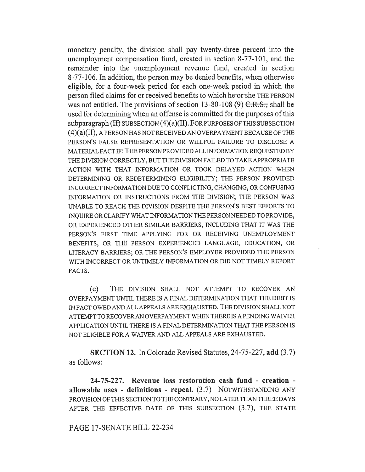monetary penalty, the division shall pay twenty-three percent into the unemployment compensation fund, created in section 8-77-101, and the remainder into the unemployment revenue fund, created in section 8-77-106. In addition, the person may be denied benefits, when otherwise eligible, for a four-week period for each one-week period in which the person filed claims for or received benefits to which he or she THE PERSON was not entitled. The provisions of section  $13-80-108$  (9)  $C.R.S.,$  shall be used for determining when an offense is committed for the purposes of this  $subparam<sub>H</sub> (H) SUBSECTION (4)(a)(II). For purposes of THIS SUBSECTION$ (4)(a)(II), A PERSON HAS NOT RECEIVED AN OVERPAYMENT BECAUSE OF THE PERSON'S FALSE REPRESENTATION OR WILLFUL FAILURE TO DISCLOSE A MATERIAL FACT IF: THE PERSON PROVIDED ALL INFORMATION REQUESTED BY THE DIVISION CORRECTLY, BUT THE DIVISION FAILED TO TAKE APPROPRIATE ACTION WITH THAT INFORMATION OR TOOK DELAYED ACTION WHEN DETERMINING OR REDETERMINING ELIGIBILITY; THE PERSON PROVIDED INCORRECT INFORMATION DUE TO CONFLICTING, CHANGING, OR CONFUSING INFORMATION OR INSTRUCTIONS FROM THE DIVISION; THE PERSON WAS UNABLE TO REACH THE DIVISION DESPITE THE PERSON'S BEST EFFORTS TO INQUIRE OR CLARIFY WHAT INFORMATION THE PERSON NEEDED TO PROVIDE, OR EXPERIENCED OTHER SIMILAR BARRIERS, INCLUDING THAT IT WAS THE PERSON'S FIRST TIME APPLYING FOR OR RECEIVING UNEMPLOYMENT BENEFITS, OR THE PERSON EXPERIENCED LANGUAGE, EDUCATION, OR LITERACY BARRIERS; OR THE PERSON'S EMPLOYER PROVIDED THE PERSON WITH INCORRECT OR UNTIMELY INFORMATION OR DID NOT TIMELY REPORT FACTS.

(e) THE DIVISION SHALL NOT ATTEMPT TO RECOVER AN OVERPAYMENT UNTIL THERE IS A FINAL DETERMINATION THAT THE DEBT IS IN FACT OWED AND ALL APPEALS ARE EXHAUSTED. THE DIVISION SHALL NOT ATTEMPT TO RECOVER AN OVERPAYMENT WHEN THERE IS A PENDING WAIVER APPLICATION UNTIL THERE IS A FINAL DETERMINATION THAT THE PERSON IS NOT ELIGIBLE FOR A WAIVER AND ALL APPEALS ARE EXHAUSTED.

SECTION 12. In Colorado Revised Statutes, 24-75-227, add (3.7) as follows:

24-75-227. Revenue loss restoration cash fund - creation allowable uses - definitions - repeal. (3.7) NOTWITHSTANDING ANY PROVISION OF THIS SECTION TO THE CONTRARY, NO LATER THAN THREE DAYS AFTER THE EFFECTIVE DATE OF THIS SUBSECTION (3.7), THE STATE